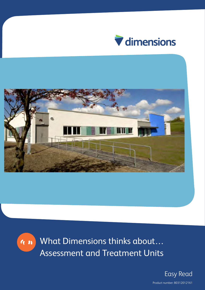





What Dimensions thinks about… Assessment and Treatment Units

> Easy Read Product number: 80312012161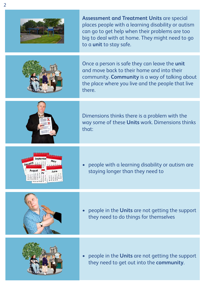|                                    | <b>Assessment and Treatment Units are special</b><br>places people with a learning disability or autism<br>can go to get help when their problems are too<br>big to deal with at home. They might need to go<br>to a unit to stay safe. |
|------------------------------------|-----------------------------------------------------------------------------------------------------------------------------------------------------------------------------------------------------------------------------------------|
|                                    | Once a person is safe they can leave the unit<br>and move back to their home and into their<br>community. Community is a way of talking about<br>the place where you live and the people that live<br>there.                            |
|                                    | Dimensions thinks there is a problem with the<br>way some of these Units work. Dimensions thinks<br>that:                                                                                                                               |
| 15 16 17<br>8994<br>August<br>June | people with a learning disability or autism are<br>staying longer than they need to                                                                                                                                                     |
|                                    | people in the Units are not getting the support<br>they need to do things for themselves                                                                                                                                                |
|                                    |                                                                                                                                                                                                                                         |

 $2\overline{ }$ 

• people in the **Units** are not getting the support they need to get out into the **community**.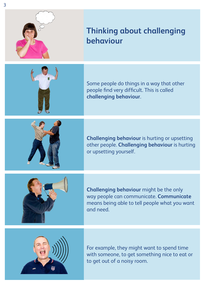

## **Thinking about challenging behaviour**

Some people do things in a way that other people find very difficult. This is called **challenging behaviour**.

**Challenging behaviour** is hurting or upsetting other people. **Challenging behaviour** is hurting or upsetting yourself.



**Challenging behaviour** might be the only way people can communicate. **Communicate** means being able to tell people what you want and need.



For example, they might want to spend time with someone, to get something nice to eat or to get out of a noisy room.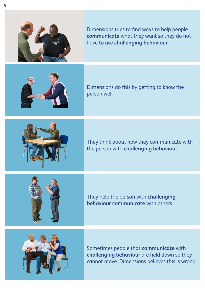

Dimensions tries to find ways to help people **communicate** what they want so they do not have to use **challenging behaviour**.



Dimensions do this by getting to know the person well.



They think about how they communicate with the person with **challenging behaviour**.

They help the person with **challenging behaviour communicate** with others.



Sometimes people that **communicate** with **challenging behaviour** are held down so they cannot move. Dimensions believes this is wrong.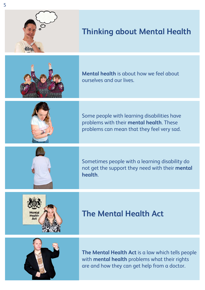

## **Thinking about Mental Health**



**Mental health** is about how we feel about ourselves and our lives.



Some people with learning disabilities have problems with their **mental health**. These problems can mean that they feel very sad.



Sometimes people with a learning disability do not get the support they need with their **mental health**.



## **The Mental Health Act**



**The Mental Health Act** is a law which tells people with **mental health** problems what their rights are and how they can get help from a doctor.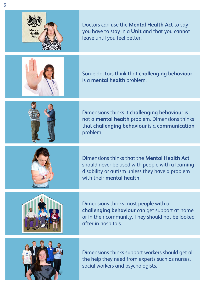



Dimensions thinks it **challenging behaviour** is not a **mental health** problem. Dimensions thinks that **challenging behaviour** is a **communication** problem.



Dimensions thinks that the **Mental Health Act** should never be used with people with a learning disability or autism unless they have a problem with their **mental health**.



Dimensions thinks most people with a **challenging behaviour** can get support at home or in their community. They should not be looked after in hospitals.



Dimensions thinks support workers should get all the help they need from experts such as nurses, social workers and psychologists.